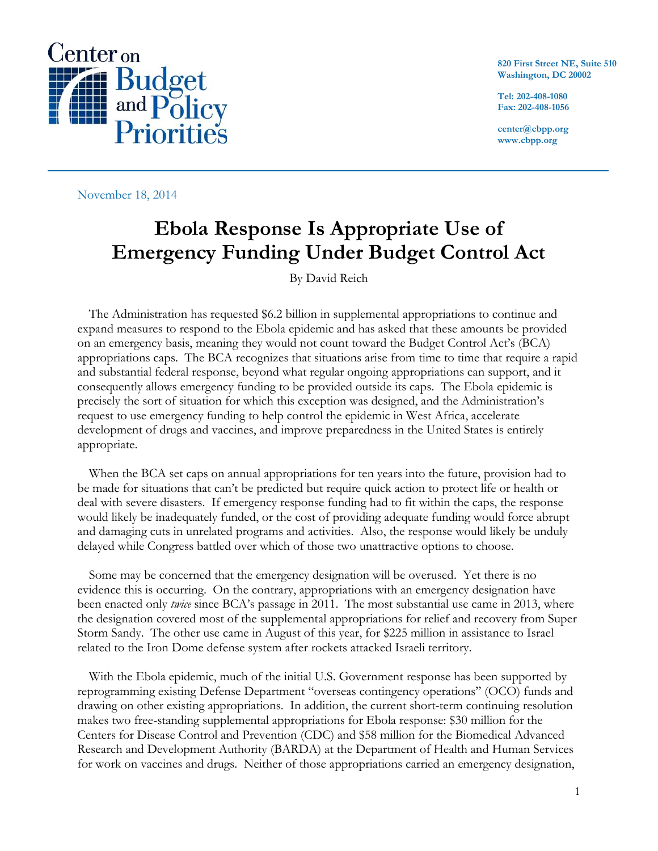

**820 First Street NE, Suite 510 Washington, DC 20002**

**Tel: 202-408-1080 Fax: 202-408-1056**

**center@cbpp.org www.cbpp.org**

November 18, 2014

## **Ebola Response Is Appropriate Use of Emergency Funding Under Budget Control Act**

By David Reich

The Administration has requested \$6.2 billion in supplemental appropriations to continue and expand measures to respond to the Ebola epidemic and has asked that these amounts be provided on an emergency basis, meaning they would not count toward the Budget Control Act's (BCA) appropriations caps. The BCA recognizes that situations arise from time to time that require a rapid and substantial federal response, beyond what regular ongoing appropriations can support, and it consequently allows emergency funding to be provided outside its caps. The Ebola epidemic is precisely the sort of situation for which this exception was designed, and the Administration's request to use emergency funding to help control the epidemic in West Africa, accelerate development of drugs and vaccines, and improve preparedness in the United States is entirely appropriate.

When the BCA set caps on annual appropriations for ten years into the future, provision had to be made for situations that can't be predicted but require quick action to protect life or health or deal with severe disasters. If emergency response funding had to fit within the caps, the response would likely be inadequately funded, or the cost of providing adequate funding would force abrupt and damaging cuts in unrelated programs and activities. Also, the response would likely be unduly delayed while Congress battled over which of those two unattractive options to choose.

Some may be concerned that the emergency designation will be overused. Yet there is no evidence this is occurring. On the contrary, appropriations with an emergency designation have been enacted only *twice* since BCA's passage in 2011. The most substantial use came in 2013, where the designation covered most of the supplemental appropriations for relief and recovery from Super Storm Sandy. The other use came in August of this year, for \$225 million in assistance to Israel related to the Iron Dome defense system after rockets attacked Israeli territory.

With the Ebola epidemic, much of the initial U.S. Government response has been supported by reprogramming existing Defense Department "overseas contingency operations" (OCO) funds and drawing on other existing appropriations. In addition, the current short-term continuing resolution makes two free-standing supplemental appropriations for Ebola response: \$30 million for the Centers for Disease Control and Prevention (CDC) and \$58 million for the Biomedical Advanced Research and Development Authority (BARDA) at the Department of Health and Human Services for work on vaccines and drugs. Neither of those appropriations carried an emergency designation,